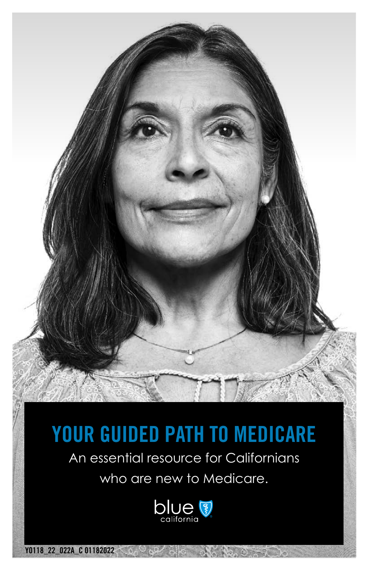# **YOUR GUIDED PATH TO MEDICARE**

An essential resource for Californians

who are new to Medicare.



**Y0118\_22\_022A\_C 01182022**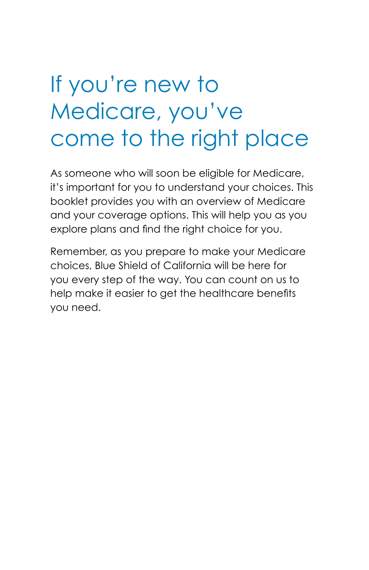# If you're new to Medicare, you've come to the right place

As someone who will soon be eligible for Medicare, it's important for you to understand your choices. This booklet provides you with an overview of Medicare and your coverage options. This will help you as you explore plans and find the right choice for you.

Remember, as you prepare to make your Medicare choices, Blue Shield of California will be here for you every step of the way. You can count on us to help make it easier to get the healthcare benefits you need.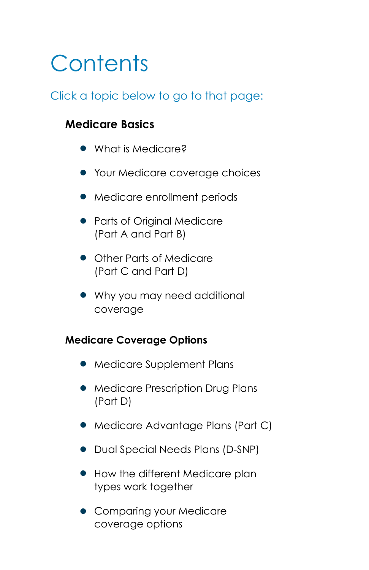# <span id="page-2-0"></span>**Contents**

#### Click a topic below to go to that page:

#### **Medicare Basics**

- [What is Medicare?](#page-3-0)
- [Your Medicare coverage choices](#page-4-0)
- [Medicare enrollment periods](#page-6-0)
- Parts [of Original Medicare](#page-10-0)  (Part [A and Part](#page-10-0) B)
- Other Parts [of Medicare](#page-12-0)  (Part [C and Part](#page-12-0) D)
- [Why you may need additional](#page-14-0) [coverage](#page-14-0)

#### **Medicare Coverage Options**

- [Medicare Supplement Plans](#page-15-0)
- [Medicare Prescription Drug Plans](#page-16-0) [\(Part](#page-16-0) D)
- [Medicare Advantage Plans \(Part](#page-17-0) C)
- [Dual Special Needs Plans \(D-SNP\)](#page-18-0)
- How the different Medicare plan [types work together](#page-19-0)
- [Comparing your Medicare](#page-20-0) [coverage options](#page-20-0)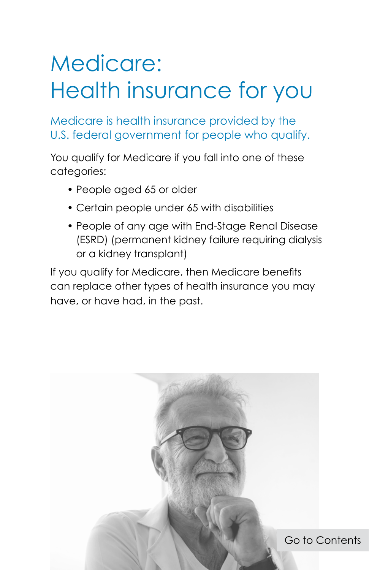# <span id="page-3-0"></span>Medicare: Health insurance for you

Medicare is health insurance provided by the U.S. federal government for people who qualify.

You qualify for Medicare if you fall into one of these categories:

- People aged 65 or older
- Certain people under 65 with disabilities
- People of any age with End-Stage Renal Disease (ESRD) (permanent kidney failure requiring dialysis or a kidney transplant)

If you qualify for Medicare, then Medicare benefits can replace other types of health insurance you may have, or have had, in the past.

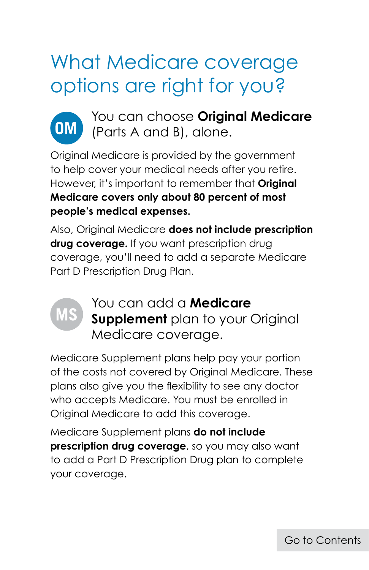### <span id="page-4-0"></span>What Medicare coverage options are right for you?



You can choose **Original Medicare** (Parts A and B), alone.

Original Medicare is provided by the government to help cover your medical needs after you retire. However, it's important to remember that **Original Medicare covers only about 80 percent of most people's medical expenses.**

Also, Original Medicare **does not include prescription drug coverage.** If you want prescription drug coverage, you'll need to add a separate Medicare Part D Prescription Drug Plan.



You can add a **Medicare Supplement** plan to your Original Medicare coverage.

Medicare Supplement plans help pay your portion of the costs not covered by Original Medicare. These plans also give you the flexibility to see any doctor who accepts Medicare. You must be enrolled in Original Medicare to add this coverage.

Medicare Supplement plans **do not include prescription drug coverage**, so you may also want to add a Part D Prescription Drug plan to complete your coverage.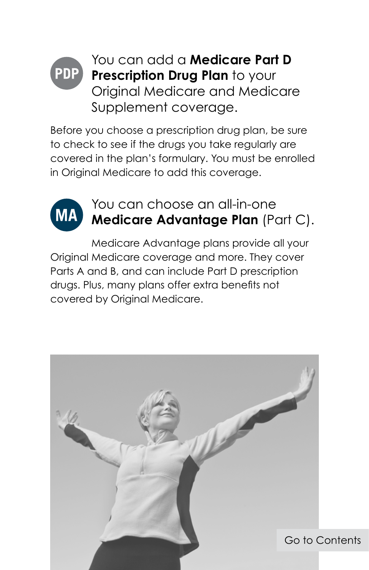#### You can add a **Medicare Part D PDP Prescription Drug Plan** to your Original Medicare and Medicare Supplement coverage.

Before you choose a prescription drug plan, be sure to check to see if the drugs you take regularly are covered in the plan's formulary. You must be enrolled in Original Medicare to add this coverage.



### You can choose an all-in-one **Medicare Advantage Plan** (Part C).

Medicare Advantage plans provide all your Original Medicare coverage and more. They cover Parts A and B, and can include Part D prescription drugs. Plus, many plans offer extra benefits not covered by Original Medicare.

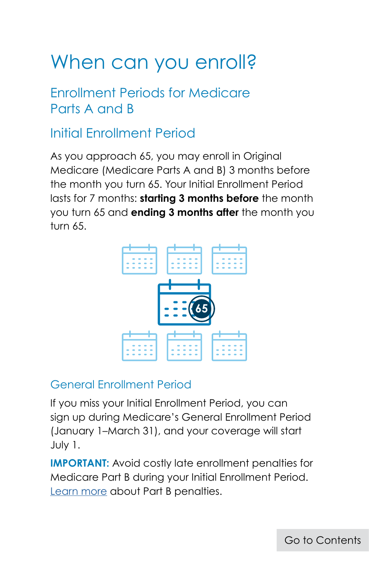### <span id="page-6-0"></span>When can you enroll?

### Enrollment Periods for Medicare Parts A and B

### Initial Enrollment Period

As you approach 65, you may enroll in Original Medicare (Medicare Parts A and B) 3 months before the month you turn 65. Your Initial Enrollment Period lasts for 7 months: **starting 3 months before** the month you turn 65 and **ending 3 months after** the month you turn 65.



#### General Enrollment Period

If you miss your Initial Enrollment Period, you can sign up during Medicare's General Enrollment Period (January 1–March 31), and your coverage will start July 1.

**IMPORTANT:** Avoid costly late enrollment penalties for Medicare Part B during your Initial Enrollment Period. [Learn more](#page-11-0) about Part B penalties.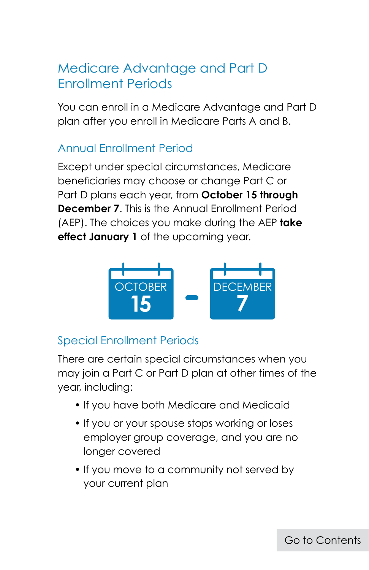### Medicare Advantage and Part D Enrollment Periods

You can enroll in a Medicare Advantage and Part D plan after you enroll in Medicare Parts A and B.

#### Annual Enrollment Period

Except under special circumstances, Medicare beneficiaries may choose or change Part C or Part D plans each year, from **October 15 through December 7**. This is the Annual Enrollment Period (AEP). The choices you make during the AEP **take effect January 1** of the upcoming year.



#### Special Enrollment Periods

There are certain special circumstances when you may join a Part C or Part D plan at other times of the year, including:

- If you have both Medicare and Medicaid
- If you or your spouse stops working or loses employer group coverage, and you are no longer covered
- If you move to a community not served by your current plan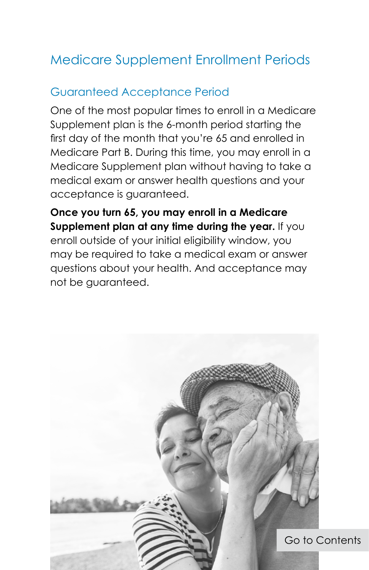### Medicare Supplement Enrollment Periods

#### Guaranteed Acceptance Period

One of the most popular times to enroll in a Medicare Supplement plan is the 6-month period starting the first day of the month that you're 65 and enrolled in Medicare Part B. During this time, you may enroll in a Medicare Supplement plan without having to take a medical exam or answer health questions and your acceptance is guaranteed.

**Once you turn 65, you may enroll in a Medicare Supplement plan at any time during the year.** If you enroll outside of your initial eligibility window, you may be required to take a medical exam or answer questions about your health. And acceptance may not be guaranteed.

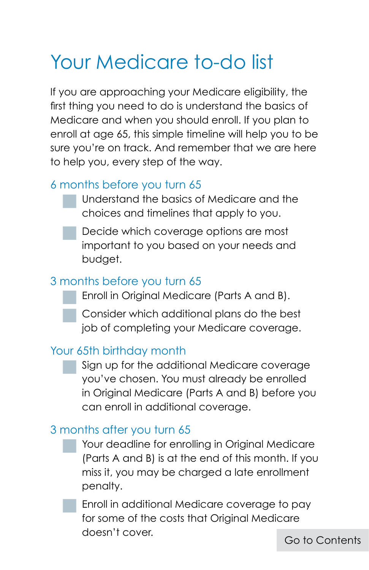### Your Medicare to-do list

If you are approaching your Medicare eligibility, the first thing you need to do is understand the basics of Medicare and when you should enroll. If you plan to enroll at age 65, this simple timeline will help you to be sure you're on track. And remember that we are here to help you, every step of the way.

#### 6 months before you turn 65

- Understand the basics of Medicare and the choices and timelines that apply to you.
- Decide which coverage options are most important to you based on your needs and budget.

#### 3 months before you turn 65

- Enroll in Original Medicare (Parts A and B).
- Consider which additional plans do the best job of completing your Medicare coverage.

#### Your 65th birthday month

 Sign up for the additional Medicare coverage you've chosen. You must already be enrolled in Original Medicare (Parts A and B) before you can enroll in additional coverage.

#### 3 months after you turn 65

- Your deadline for enrolling in Original Medicare (Parts A and B) is at the end of this month. If you miss it, you may be charged a late enrollment penalty.
- Enroll in additional Medicare coverage to pay for some of the costs that Original Medicare doesn't cover.

[Go to Contents](#page-2-0)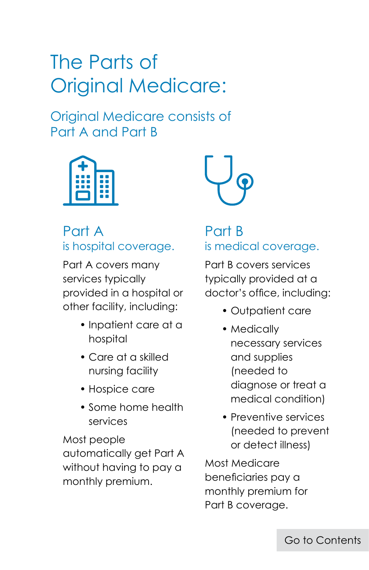## <span id="page-10-0"></span>The Parts of Original Medicare:

Original Medicare consists of Part A and Part B



#### Part A is hospital coverage.

Part A covers many services typically provided in a hospital or other facility, including:

- Inpatient care at a hospital
- Care at a skilled nursing facility
- Hospice care
- Some home health services

Most people automatically get Part A without having to pay a monthly premium.



#### Part B is medical coverage.

Part B covers services typically provided at a doctor's office, including:

- Outpatient care
- Medically necessary services and supplies (needed to diagnose or treat a medical condition)
- Preventive services (needed to prevent or detect illness)

Most Medicare beneficiaries pay a monthly premium for Part B coverage.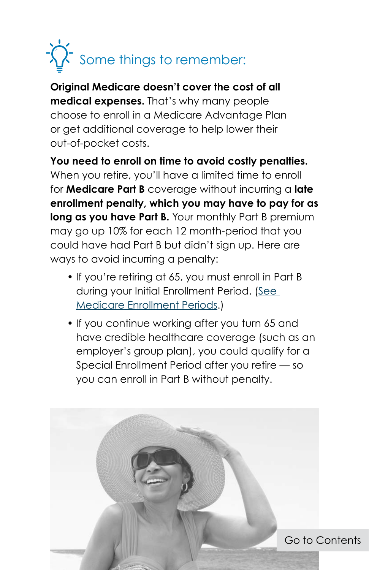# <span id="page-11-0"></span>Some things to remember:

**Original Medicare doesn't cover the cost of all medical expenses.** That's why many people choose to enroll in a Medicare Advantage Plan or get additional coverage to help lower their out-of-pocket costs.

**You need to enroll on time to avoid costly penalties.** When you retire, you'll have a limited time to enroll for **Medicare Part B** coverage without incurring a **late enrollment penalty, which you may have to pay for as long as you have Part B.** Your monthly Part B premium may go up 10% for each 12 month-period that you could have had Part B but didn't sign up. Here are ways to avoid incurring a penalty:

- If you're retiring at 65, you must enroll in Part B during your Initial Enrollment Period. [\(See](#page-6-0)  [Medicare Enrollment Periods](#page-6-0).)
- If you continue working after you turn 65 and have credible healthcare coverage (such as an employer's group plan), you could qualify for a Special Enrollment Period after you retire — so you can enroll in Part B without penalty.

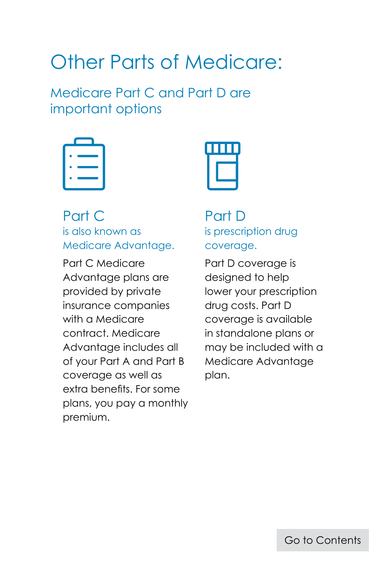### <span id="page-12-0"></span>Other Parts of Medicare:

Medicare Part C and Part D are important options



#### Part C is also known as Medicare Advantage.

Part C Medicare Advantage plans are provided by private insurance companies with a Medicare contract. Medicare Advantage includes all of your Part A and Part B coverage as well as extra benefits. For some plans, you pay a monthly premium.



Part D is prescription drug coverage.

Part D coverage is designed to help lower your prescription drug costs. Part D coverage is available in standalone plans or may be included with a Medicare Advantage plan.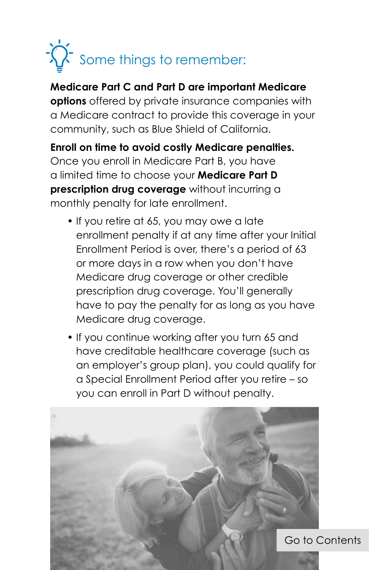

**Medicare Part C and Part D are important Medicare options** offered by private insurance companies with a Medicare contract to provide this coverage in your community, such as Blue Shield of California.

**Enroll on time to avoid costly Medicare penalties.** Once you enroll in Medicare Part B, you have a limited time to choose your **Medicare Part D prescription drug coverage** without incurring a monthly penalty for late enrollment.

- If you retire at 65, you may owe a late enrollment penalty if at any time after your Initial Enrollment Period is over, there's a period of 63 or more days in a row when you don't have Medicare drug coverage or other credible prescription drug coverage. You'll generally have to pay the penalty for as long as you have Medicare drug coverage.
- If you continue working after you turn 65 and have creditable healthcare coverage (such as an employer's group plan), you could qualify for a Special Enrollment Period after you retire – so you can enroll in Part D without penalty.

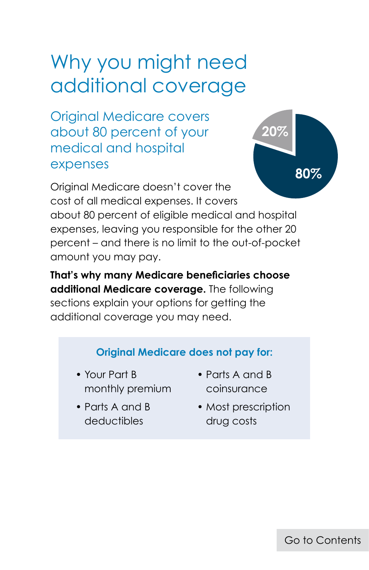### <span id="page-14-0"></span>Why you might need additional coverage

Original Medicare covers about 80 percent of your medical and hospital expenses



Original Medicare doesn't cover the cost of all medical expenses. It covers about 80 percent of eligible medical and hospital expenses, leaving you responsible for the other 20 percent – and there is no limit to the out-of-pocket amount you may pay.

**That's why many Medicare beneficiaries choose additional Medicare coverage.** The following sections explain your options for getting the additional coverage you may need.

#### **Original Medicare does not pay for:**

- Your Part B monthly premium
- Parts A and B deductibles
- Parts A and B coinsurance
- Most prescription drug costs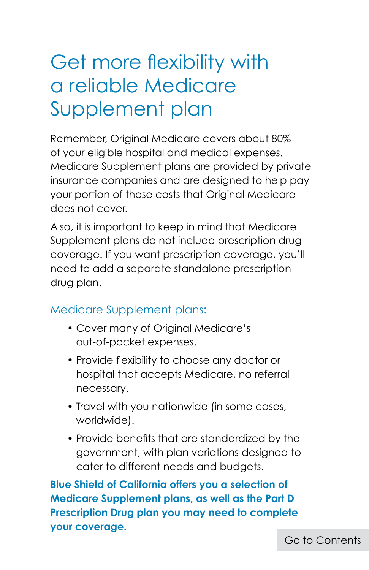## <span id="page-15-0"></span>Get more flexibility with a reliable Medicare Supplement plan

Remember, Original Medicare covers about 80% of your eligible hospital and medical expenses. Medicare Supplement plans are provided by private insurance companies and are designed to help pay your portion of those costs that Original Medicare does not cover.

Also, it is important to keep in mind that Medicare Supplement plans do not include prescription drug coverage. If you want prescription coverage, you'll need to add a separate standalone prescription drug plan.

#### Medicare Supplement plans:

- Cover many of Original Medicare's out-of-pocket expenses.
- Provide flexibility to choose any doctor or hospital that accepts Medicare, no referral necessary.
- Travel with you nationwide (in some cases, worldwide).
- Provide benefits that are standardized by the government, with plan variations designed to cater to different needs and budgets.

**Blue Shield of California offers you a selection of Medicare Supplement plans, as well as the Part D Prescription Drug plan you may need to complete your coverage.**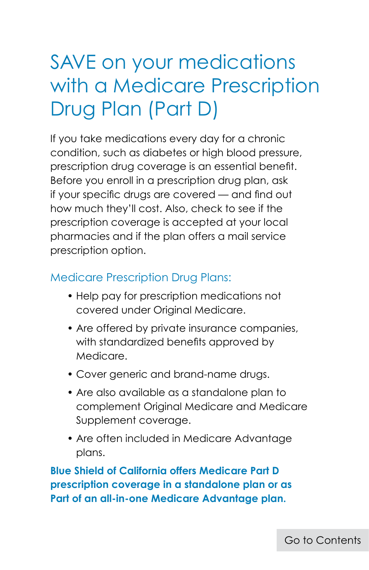### <span id="page-16-0"></span>SAVE on your medications with a Medicare Prescription Drug Plan (Part D)

If you take medications every day for a chronic condition, such as diabetes or high blood pressure, prescription drug coverage is an essential benefit. Before you enroll in a prescription drug plan, ask if your specific drugs are covered — and find out how much they'll cost. Also, check to see if the prescription coverage is accepted at your local pharmacies and if the plan offers a mail service prescription option.

#### Medicare Prescription Drug Plans:

- Help pay for prescription medications not covered under Original Medicare.
- Are offered by private insurance companies, with standardized benefits approved by Medicare.
- Cover generic and brand-name drugs.
- Are also available as a standalone plan to complement Original Medicare and Medicare Supplement coverage.
- Are often included in Medicare Advantage plans.

**Blue Shield of California offers Medicare Part D prescription coverage in a standalone plan or as Part of an all-in-one Medicare Advantage plan.**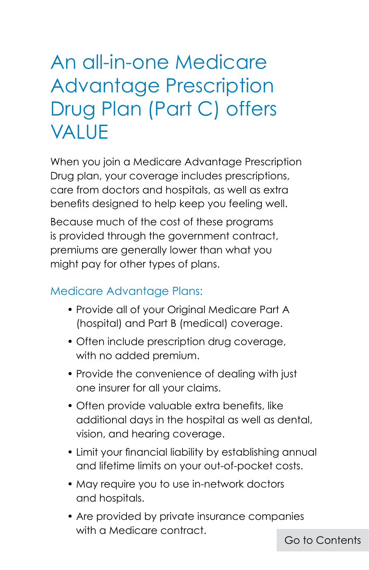### <span id="page-17-0"></span>An all-in-one Medicare Advantage Prescription Drug Plan (Part C) offers VALUE

When you join a Medicare Advantage Prescription Drug plan, your coverage includes prescriptions, care from doctors and hospitals, as well as extra benefits designed to help keep you feeling well.

Because much of the cost of these programs is provided through the government contract, premiums are generally lower than what you might pay for other types of plans.

#### Medicare Advantage Plans:

- Provide all of your Original Medicare Part A (hospital) and Part B (medical) coverage.
- Often include prescription drug coverage, with no added premium.
- Provide the convenience of dealing with just one insurer for all your claims.
- Often provide valuable extra benefits, like additional days in the hospital as well as dental, vision, and hearing coverage.
- Limit your financial liability by establishing annual and lifetime limits on your out-of-pocket costs.
- May require you to use in-network doctors and hospitals.
- Are provided by private insurance companies with a Medicare contract.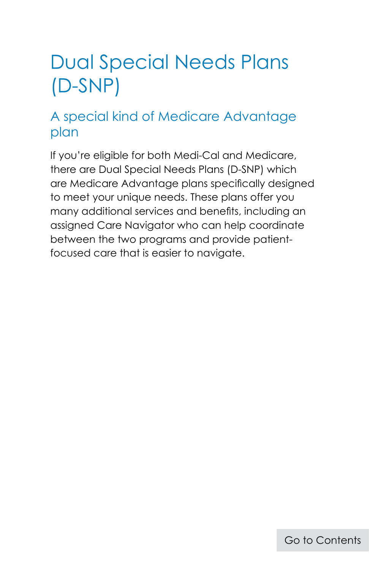### <span id="page-18-0"></span>Dual Special Needs Plans (D-SNP)

### A special kind of Medicare Advantage plan

If you're eligible for both Medi-Cal and Medicare, there are Dual Special Needs Plans (D-SNP) which are Medicare Advantage plans specifically designed to meet your unique needs. These plans offer you many additional services and benefits, including an assigned Care Navigator who can help coordinate between the two programs and provide patientfocused care that is easier to navigate.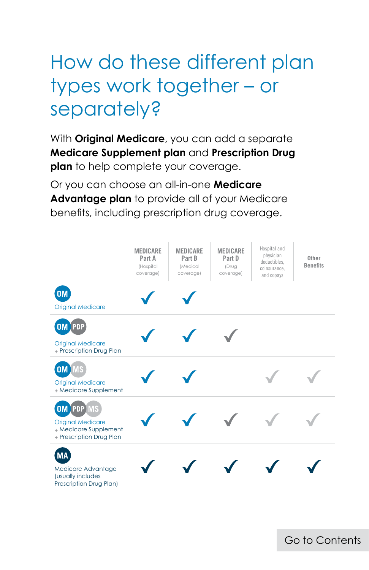## <span id="page-19-0"></span>How do these different plan types work together – or separately?

With **Original Medicare**, you can add a separate **Medicare Supplement plan** and **Prescription Drug plan** to help complete your coverage.

Or you can choose an all-in-one **Medicare Advantage plan** to provide all of your Medicare benefits, including prescription drug coverage.



[Go to Contents](#page-2-0)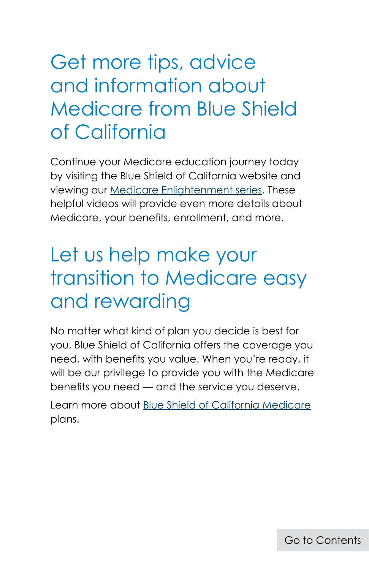### <span id="page-20-0"></span>Get more tips, advice and information about Medicare from Blue Shield of California

Continue your Medicare education journey today by visiting the Blue Shield of California website and viewing our [Medicare Enlightenment series](https://www.blueshieldca.com/bsca/bsc/wcm/connect/sites/sites_content_en/medicare/learn-about-medicare/bsca-medicare-videos). These helpful videos will provide even more details about Medicare, your benefits, enrollment, and more.

### Let us help make your transition to Medicare easy and rewarding

No matter what kind of plan you decide is best for you, Blue Shield of California offers the coverage you need, with benefits you value. When you're ready, it will be our privilege to provide you with the Medicare benefits you need — and the service you deserve.

Learn more about [Blue Shield of California Medicare](https://www.blueshieldca.com/bsca/bsc/wcm/connect/sites/sites_content_en/medicare/home) plans.